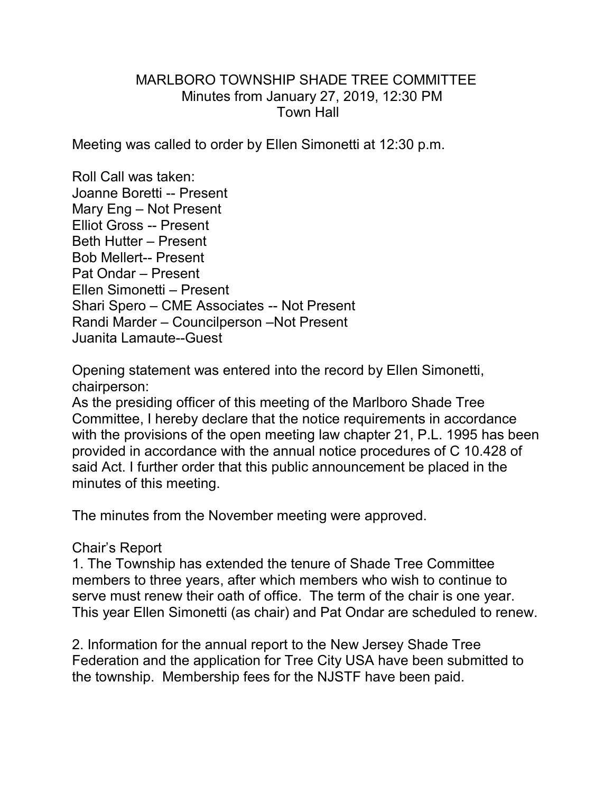## MARLBORO TOWNSHIP SHADE TREE COMMITTEE Minutes from January 27, 2019, 12:30 PM Town Hall

Meeting was called to order by Ellen Simonetti at 12:30 p.m.

Roll Call was taken: Joanne Boretti -- Present Mary Eng – Not Present Elliot Gross -- Present Beth Hutter – Present Bob Mellert-- Present Pat Ondar – Present Ellen Simonetti – Present Shari Spero – CME Associates -- Not Present Randi Marder – Councilperson –Not Present Juanita Lamaute--Guest

Opening statement was entered into the record by Ellen Simonetti, chairperson:

As the presiding officer of this meeting of the Marlboro Shade Tree Committee, I hereby declare that the notice requirements in accordance with the provisions of the open meeting law chapter 21, P.L. 1995 has been provided in accordance with the annual notice procedures of C 10.428 of said Act. I further order that this public announcement be placed in the minutes of this meeting.

The minutes from the November meeting were approved.

## Chair's Report

1. The Township has extended the tenure of Shade Tree Committee members to three years, after which members who wish to continue to serve must renew their oath of office. The term of the chair is one year. This year Ellen Simonetti (as chair) and Pat Ondar are scheduled to renew.

2. Information for the annual report to the New Jersey Shade Tree Federation and the application for Tree City USA have been submitted to the township. Membership fees for the NJSTF have been paid.